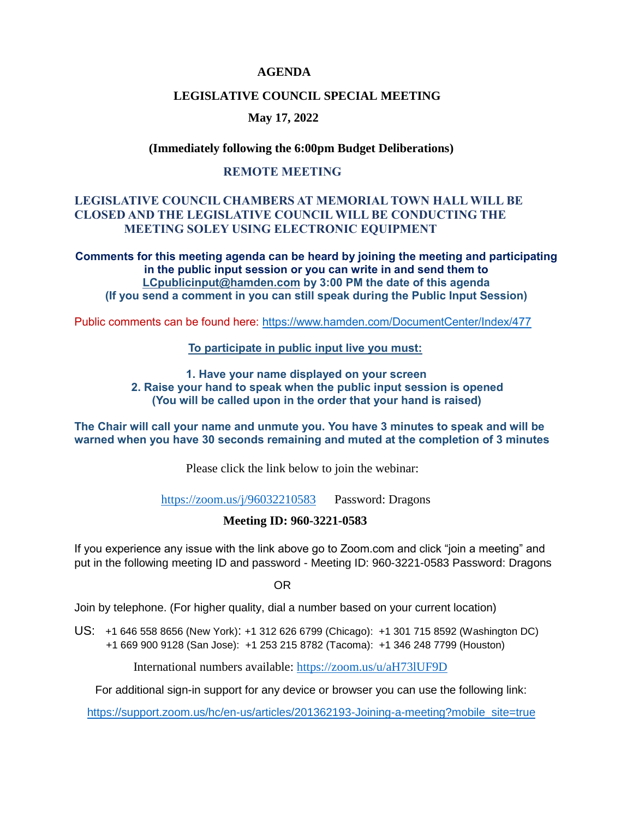#### **AGENDA**

#### **LEGISLATIVE COUNCIL SPECIAL MEETING**

#### **May 17, 2022**

### **(Immediately following the 6:00pm Budget Deliberations)**

### **REMOTE MEETING**

### **LEGISLATIVE COUNCIL CHAMBERS AT MEMORIAL TOWN HALL WILL BE CLOSED AND THE LEGISLATIVE COUNCIL WILL BE CONDUCTING THE MEETING SOLEY USING ELECTRONIC EQUIPMENT**

**Comments for this meeting agenda can be heard by joining the meeting and participating in the public input session or you can write in and send them to [LCpublicinput@hamden.com](mailto:LCpublicinput@hamden.com) by 3:00 PM the date of this agenda (If you send a comment in you can still speak during the Public Input Session)**

Public comments can be found here:<https://www.hamden.com/DocumentCenter/Index/477>

#### **To participate in public input live you must:**

**1. Have your name displayed on your screen 2. Raise your hand to speak when the public input session is opened (You will be called upon in the order that your hand is raised)** 

**The Chair will call your name and unmute you. You have 3 minutes to speak and will be warned when you have 30 seconds remaining and muted at the completion of 3 minutes**

Please click the link below to join the webinar:

<https://zoom.us/j/96032210583>Password: Dragons

#### **Meeting ID: 960-3221-0583**

If you experience any issue with the link above go to Zoom.com and click "join a meeting" and put in the following meeting ID and password - Meeting ID: 960-3221-0583 Password: Dragons

OR

Join by telephone. (For higher quality, dial a number based on your current location)

US: [+1 646 558 8656 \(New York\)](tel:+16465588656): [+1 312 626 6799 \(Chicago\):](tel:+13126266799) [+1 301 715 8592 \(Washington DC\)](tel:+13017158592) +1 669 900 9128 (San Jose): [+1 253 215 8782 \(Tacoma\):](tel:+12532158782) [+1 346 248 7799 \(Houston\)](tel:+13462487799)

International numbers available:<https://zoom.us/u/aH73lUF9D>

For additional sign-in support for any device or browser you can use the following link:

[https://support.zoom.us/hc/en-us/articles/201362193-Joining-a-meeting?mobile\\_site=true](https://support.zoom.us/hc/en-us/articles/201362193-Joining-a-meeting?mobile_site=true)